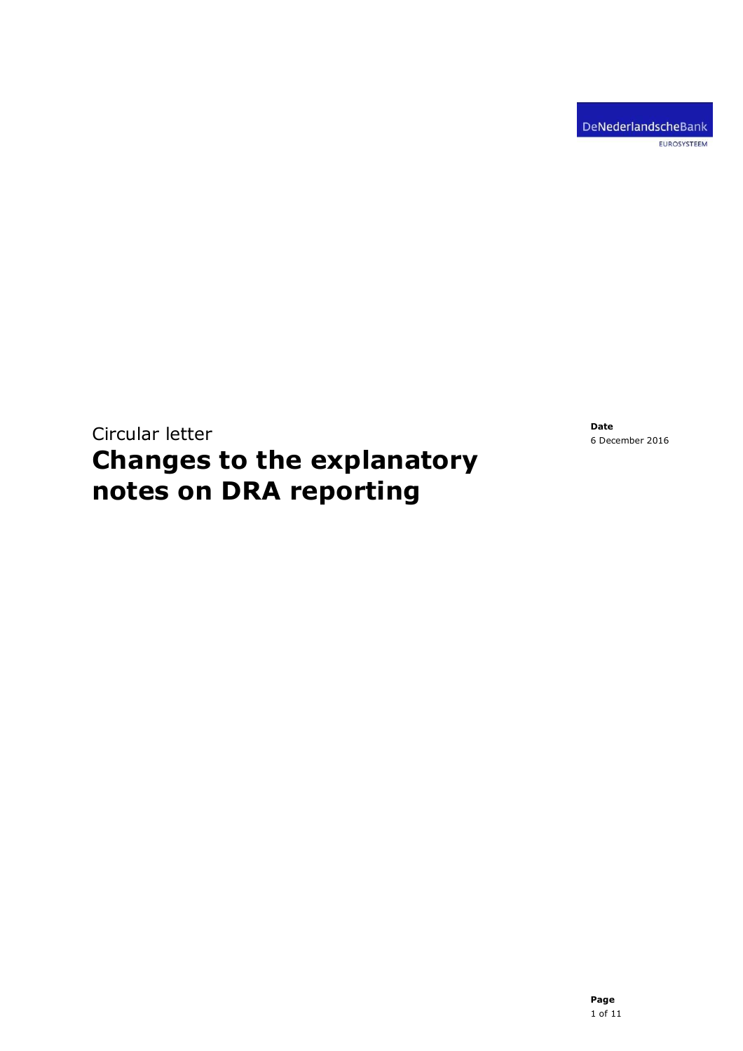Circular letter Changes to the explanatory notes on DRA reporting

Date 6 December 2016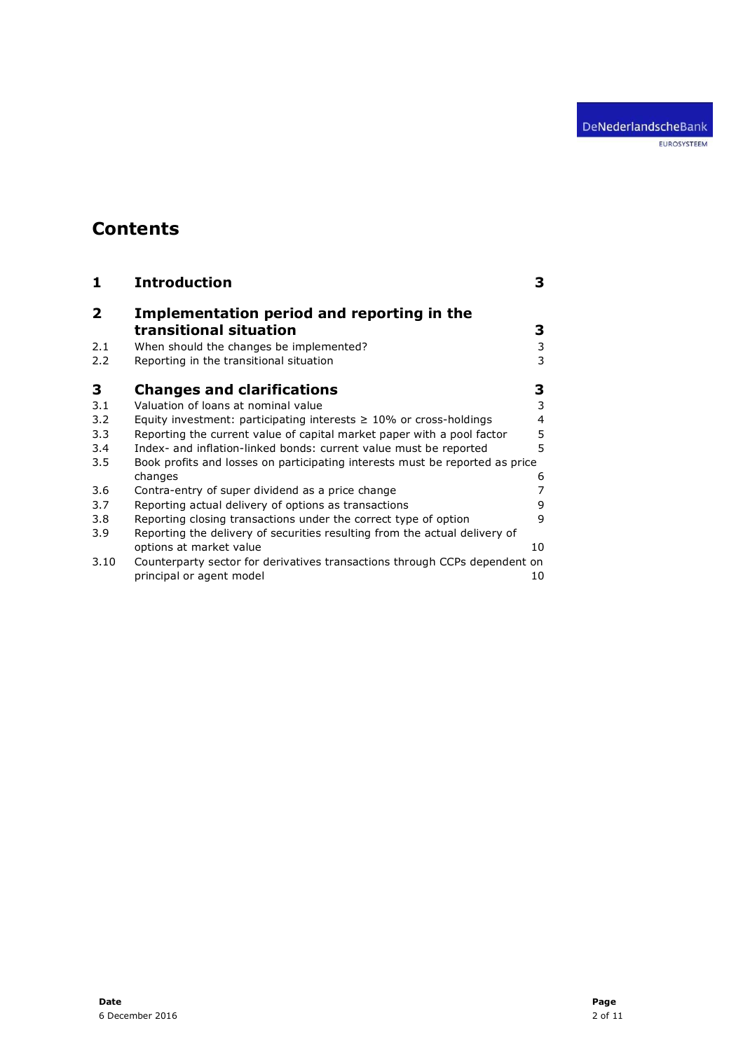EUROSYSTEEM

# **Contents**

| 1    | <b>Introduction</b>                                                          | 3  |
|------|------------------------------------------------------------------------------|----|
| 2    | Implementation period and reporting in the                                   |    |
|      | transitional situation                                                       | 3  |
| 2.1  | When should the changes be implemented?                                      | 3  |
| 2.2  | Reporting in the transitional situation                                      | 3  |
| 3    | <b>Changes and clarifications</b>                                            | 3  |
| 3.1  | Valuation of loans at nominal value                                          | 3  |
| 3.2  | Equity investment: participating interests $\geq 10\%$ or cross-holdings     | 4  |
| 3.3  | Reporting the current value of capital market paper with a pool factor       | 5  |
| 3.4  | Index- and inflation-linked bonds: current value must be reported            | 5  |
| 3.5  | Book profits and losses on participating interests must be reported as price |    |
|      | changes                                                                      | 6  |
| 3.6  | Contra-entry of super dividend as a price change                             |    |
| 3.7  | Reporting actual delivery of options as transactions                         | 9  |
| 3.8  | Reporting closing transactions under the correct type of option              | 9  |
| 3.9  | Reporting the delivery of securities resulting from the actual delivery of   |    |
|      | options at market value                                                      | 10 |
| 3.10 | Counterparty sector for derivatives transactions through CCPs dependent on   |    |
|      | principal or agent model                                                     | 10 |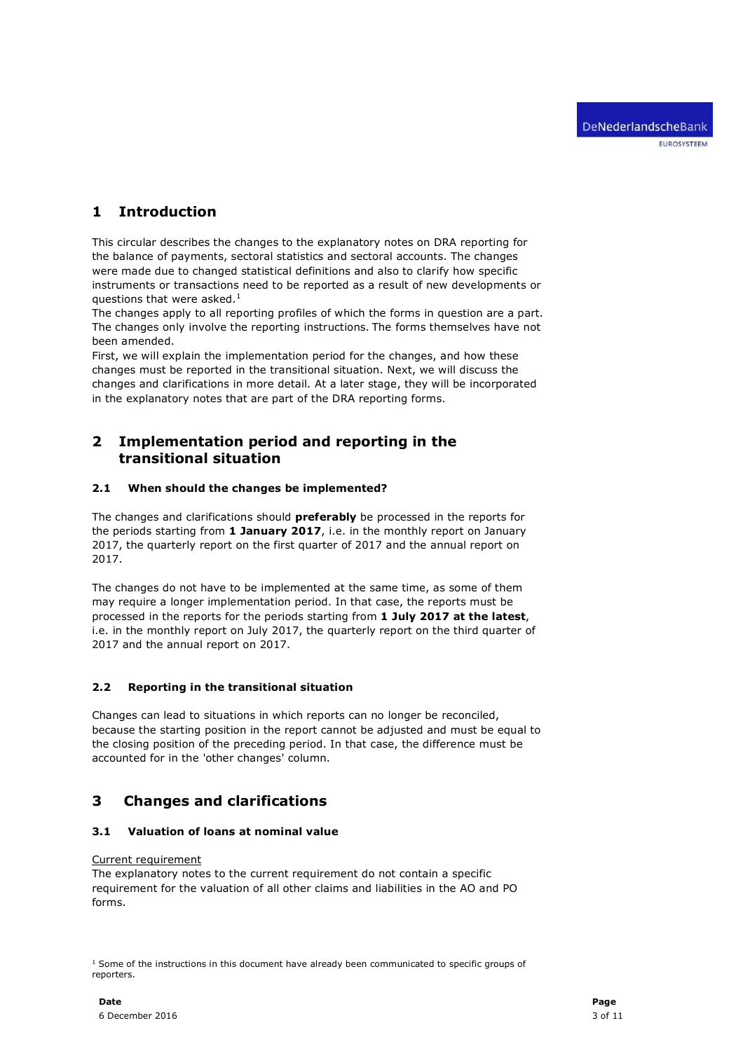## 1 Introduction

This circular describes the changes to the explanatory notes on DRA reporting for the balance of payments, sectoral statistics and sectoral accounts. The changes were made due to changed statistical definitions and also to clarify how specific instruments or transactions need to be reported as a result of new developments or questions that were asked. $<sup>1</sup>$ </sup>

The changes apply to all reporting profiles of which the forms in question are a part. The changes only involve the reporting instructions. The forms themselves have not been amended.

First, we will explain the implementation period for the changes, and how these changes must be reported in the transitional situation. Next, we will discuss the changes and clarifications in more detail. At a later stage, they will be incorporated in the explanatory notes that are part of the DRA reporting forms.

## 2 Implementation period and reporting in the transitional situation

## 2.1 When should the changes be implemented?

The changes and clarifications should **preferably** be processed in the reports for the periods starting from 1 January 2017, i.e. in the monthly report on January 2017, the quarterly report on the first quarter of 2017 and the annual report on 2017.

The changes do not have to be implemented at the same time, as some of them may require a longer implementation period. In that case, the reports must be processed in the reports for the periods starting from 1 July 2017 at the latest, i.e. in the monthly report on July 2017, the quarterly report on the third quarter of 2017 and the annual report on 2017.

## 2.2 Reporting in the transitional situation

Changes can lead to situations in which reports can no longer be reconciled, because the starting position in the report cannot be adjusted and must be equal to the closing position of the preceding period. In that case, the difference must be accounted for in the 'other changes' column.

## 3 Changes and clarifications

## 3.1 Valuation of loans at nominal value

#### Current requirement

The explanatory notes to the current requirement do not contain a specific requirement for the valuation of all other claims and liabilities in the AO and PO forms.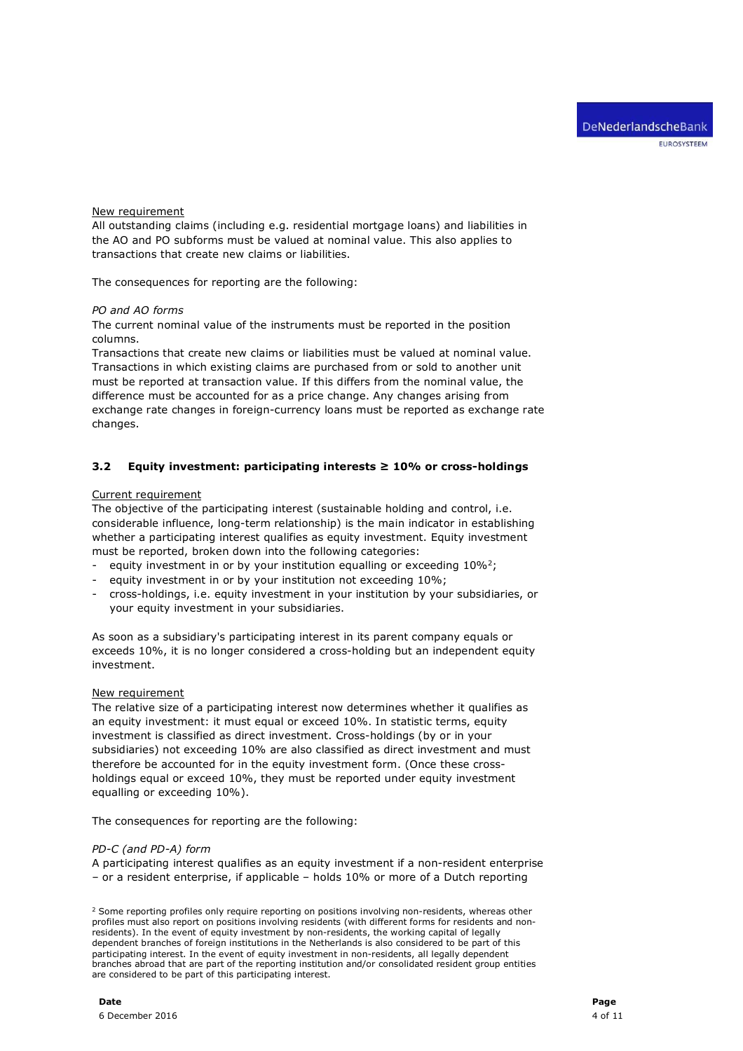#### New requirement

All outstanding claims (including e.g. residential mortgage loans) and liabilities in the AO and PO subforms must be valued at nominal value. This also applies to transactions that create new claims or liabilities.

The consequences for reporting are the following:

#### PO and AO forms

The current nominal value of the instruments must be reported in the position columns.

Transactions that create new claims or liabilities must be valued at nominal value. Transactions in which existing claims are purchased from or sold to another unit must be reported at transaction value. If this differs from the nominal value, the difference must be accounted for as a price change. Any changes arising from exchange rate changes in foreign-currency loans must be reported as exchange rate changes.

## 3.2 Equity investment: participating interests  $\geq 10\%$  or cross-holdings

#### Current requirement

The objective of the participating interest (sustainable holding and control, i.e. considerable influence, long-term relationship) is the main indicator in establishing whether a participating interest qualifies as equity investment. Equity investment must be reported, broken down into the following categories:

- equity investment in or by your institution equalling or exceeding  $10\%^2$ ;
- equity investment in or by your institution not exceeding 10%;
- cross-holdings, i.e. equity investment in your institution by your subsidiaries, or your equity investment in your subsidiaries.

As soon as a subsidiary's participating interest in its parent company equals or exceeds 10%, it is no longer considered a cross-holding but an independent equity investment.

#### New requirement

The relative size of a participating interest now determines whether it qualifies as an equity investment: it must equal or exceed 10%. In statistic terms, equity investment is classified as direct investment. Cross-holdings (by or in your subsidiaries) not exceeding 10% are also classified as direct investment and must therefore be accounted for in the equity investment form. (Once these crossholdings equal or exceed 10%, they must be reported under equity investment equalling or exceeding 10%).

The consequences for reporting are the following:

#### PD-C (and PD-A) form

A participating interest qualifies as an equity investment if a non-resident enterprise – or a resident enterprise, if applicable – holds 10% or more of a Dutch reporting

<sup>&</sup>lt;sup>2</sup> Some reporting profiles only require reporting on positions involving non-residents, whereas other profiles must also report on positions involving residents (with different forms for residents and nonresidents). In the event of equity investment by non-residents, the working capital of legally dependent branches of foreign institutions in the Netherlands is also considered to be part of this participating interest. In the event of equity investment in non-residents, all legally dependent branches abroad that are part of the reporting institution and/or consolidated resident group entities are considered to be part of this participating interest.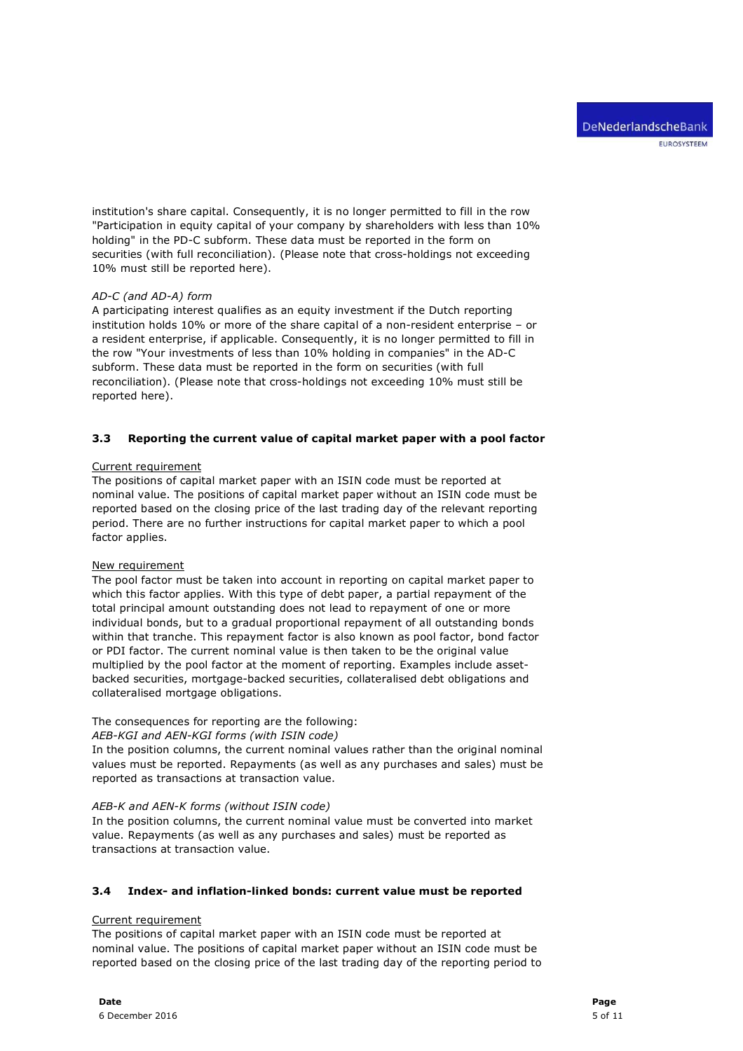institution's share capital. Consequently, it is no longer permitted to fill in the row "Participation in equity capital of your company by shareholders with less than 10% holding" in the PD-C subform. These data must be reported in the form on securities (with full reconciliation). (Please note that cross-holdings not exceeding 10% must still be reported here).

#### AD-C (and AD-A) form

A participating interest qualifies as an equity investment if the Dutch reporting institution holds 10% or more of the share capital of a non-resident enterprise – or a resident enterprise, if applicable. Consequently, it is no longer permitted to fill in the row "Your investments of less than 10% holding in companies" in the AD-C subform. These data must be reported in the form on securities (with full reconciliation). (Please note that cross-holdings not exceeding 10% must still be reported here).

## 3.3 Reporting the current value of capital market paper with a pool factor

#### Current requirement

The positions of capital market paper with an ISIN code must be reported at nominal value. The positions of capital market paper without an ISIN code must be reported based on the closing price of the last trading day of the relevant reporting period. There are no further instructions for capital market paper to which a pool factor applies.

#### New requirement

The pool factor must be taken into account in reporting on capital market paper to which this factor applies. With this type of debt paper, a partial repayment of the total principal amount outstanding does not lead to repayment of one or more individual bonds, but to a gradual proportional repayment of all outstanding bonds within that tranche. This repayment factor is also known as pool factor, bond factor or PDI factor. The current nominal value is then taken to be the original value multiplied by the pool factor at the moment of reporting. Examples include assetbacked securities, mortgage-backed securities, collateralised debt obligations and collateralised mortgage obligations.

## The consequences for reporting are the following:

## AEB-KGI and AEN-KGI forms (with ISIN code)

In the position columns, the current nominal values rather than the original nominal values must be reported. Repayments (as well as any purchases and sales) must be reported as transactions at transaction value.

#### AEB-K and AEN-K forms (without ISIN code)

In the position columns, the current nominal value must be converted into market value. Repayments (as well as any purchases and sales) must be reported as transactions at transaction value.

## 3.4 Index- and inflation-linked bonds: current value must be reported

## Current requirement

The positions of capital market paper with an ISIN code must be reported at nominal value. The positions of capital market paper without an ISIN code must be reported based on the closing price of the last trading day of the reporting period to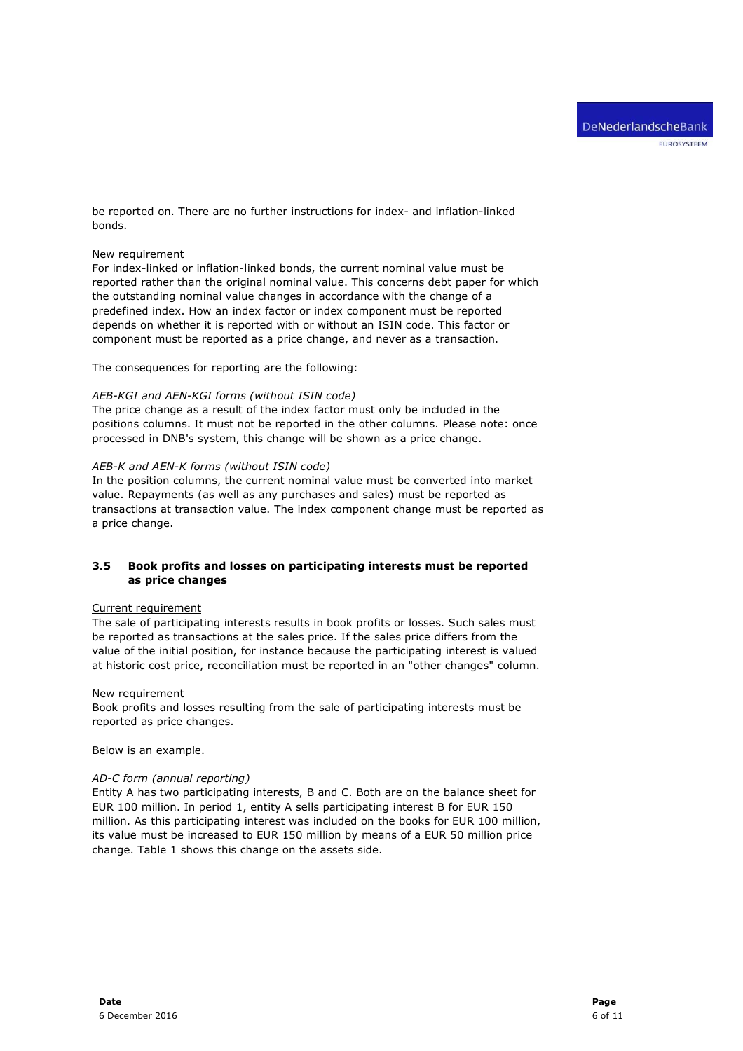be reported on. There are no further instructions for index- and inflation-linked bonds.

#### New requirement

For index-linked or inflation-linked bonds, the current nominal value must be reported rather than the original nominal value. This concerns debt paper for which the outstanding nominal value changes in accordance with the change of a predefined index. How an index factor or index component must be reported depends on whether it is reported with or without an ISIN code. This factor or component must be reported as a price change, and never as a transaction.

The consequences for reporting are the following:

#### AEB-KGI and AEN-KGI forms (without ISIN code)

The price change as a result of the index factor must only be included in the positions columns. It must not be reported in the other columns. Please note: once processed in DNB's system, this change will be shown as a price change.

#### AEB-K and AEN-K forms (without ISIN code)

In the position columns, the current nominal value must be converted into market value. Repayments (as well as any purchases and sales) must be reported as transactions at transaction value. The index component change must be reported as a price change.

## 3.5 Book profits and losses on participating interests must be reported as price changes

#### Current requirement

The sale of participating interests results in book profits or losses. Such sales must be reported as transactions at the sales price. If the sales price differs from the value of the initial position, for instance because the participating interest is valued at historic cost price, reconciliation must be reported in an "other changes" column.

#### New requirement

Book profits and losses resulting from the sale of participating interests must be reported as price changes.

Below is an example.

#### AD-C form (annual reporting)

Entity A has two participating interests, B and C. Both are on the balance sheet for EUR 100 million. In period 1, entity A sells participating interest B for EUR 150 million. As this participating interest was included on the books for EUR 100 million, its value must be increased to EUR 150 million by means of a EUR 50 million price change. Table 1 shows this change on the assets side.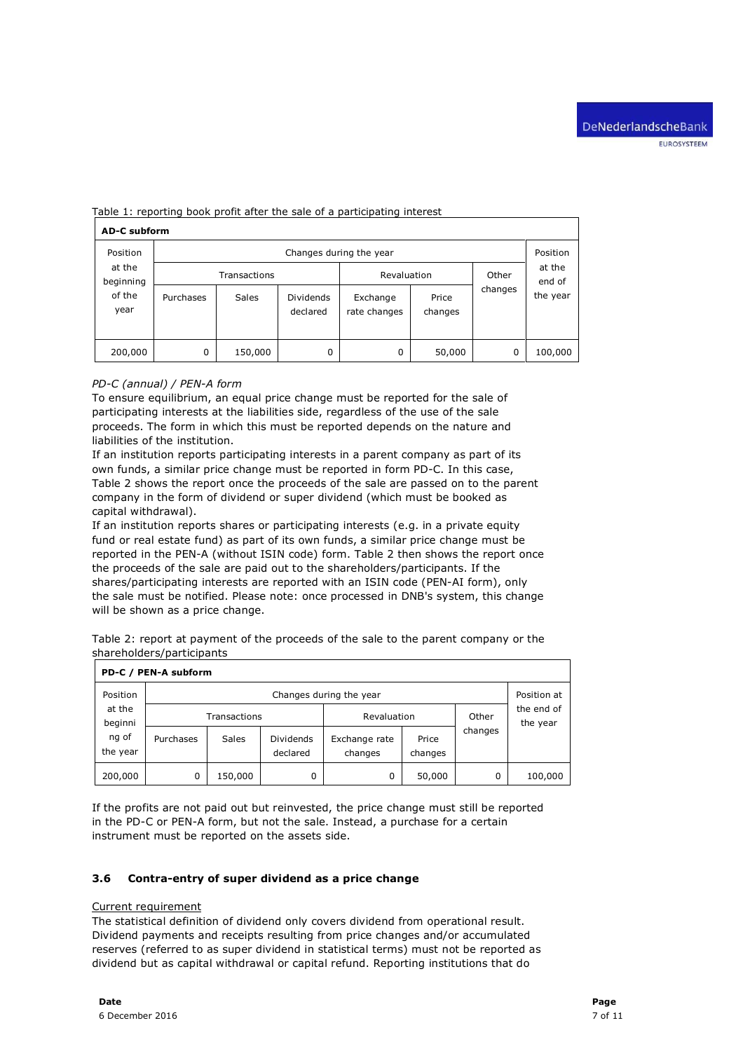| <b>AD-C subform</b> |                         |              |                  |              |         |         |                              |  |  |
|---------------------|-------------------------|--------------|------------------|--------------|---------|---------|------------------------------|--|--|
| Position            | Changes during the year |              |                  |              |         |         |                              |  |  |
| at the<br>beginning |                         | Transactions |                  | Revaluation  |         | Other   | at the<br>end of<br>the year |  |  |
| of the              | Purchases               | <b>Sales</b> | <b>Dividends</b> | Exchange     | Price   | changes |                              |  |  |
| year                |                         |              | declared         | rate changes | changes |         |                              |  |  |
|                     |                         |              |                  |              |         |         |                              |  |  |
| 200,000             | 0                       | 150,000      | 0                | 0            | 50,000  | 0       | 100,000                      |  |  |

#### Table 1: reporting book profit after the sale of a participating interest

## PD-C (annual) / PEN-A form

To ensure equilibrium, an equal price change must be reported for the sale of participating interests at the liabilities side, regardless of the use of the sale proceeds. The form in which this must be reported depends on the nature and liabilities of the institution.

If an institution reports participating interests in a parent company as part of its own funds, a similar price change must be reported in form PD-C. In this case, Table 2 shows the report once the proceeds of the sale are passed on to the parent company in the form of dividend or super dividend (which must be booked as capital withdrawal).

If an institution reports shares or participating interests (e.g. in a private equity fund or real estate fund) as part of its own funds, a similar price change must be reported in the PEN-A (without ISIN code) form. Table 2 then shows the report once the proceeds of the sale are paid out to the shareholders/participants. If the shares/participating interests are reported with an ISIN code (PEN-AI form), only the sale must be notified. Please note: once processed in DNB's system, this change will be shown as a price change.

| Table 2: report at payment of the proceeds of the sale to the parent company or the |  |  |  |
|-------------------------------------------------------------------------------------|--|--|--|
| shareholders/participants                                                           |  |  |  |

| PD-C / PEN-A subform |                         |              |                              |                          |                  |          |                        |  |  |
|----------------------|-------------------------|--------------|------------------------------|--------------------------|------------------|----------|------------------------|--|--|
| Position             | Changes during the year |              |                              |                          |                  |          |                        |  |  |
| at the<br>beginni    | Transactions            |              |                              | Revaluation              |                  | Other    | the end of<br>the year |  |  |
| ng of<br>the year    | Purchases               | <b>Sales</b> | <b>Dividends</b><br>declared | Exchange rate<br>changes | Price<br>changes | changes  |                        |  |  |
| 200,000              | 0                       | 150,000      | 0                            | 0                        | 50,000           | $\Omega$ | 100,000                |  |  |

If the profits are not paid out but reinvested, the price change must still be reported in the PD-C or PEN-A form, but not the sale. Instead, a purchase for a certain instrument must be reported on the assets side.

#### 3.6 Contra-entry of super dividend as a price change

#### Current requirement

The statistical definition of dividend only covers dividend from operational result. Dividend payments and receipts resulting from price changes and/or accumulated reserves (referred to as super dividend in statistical terms) must not be reported as dividend but as capital withdrawal or capital refund. Reporting institutions that do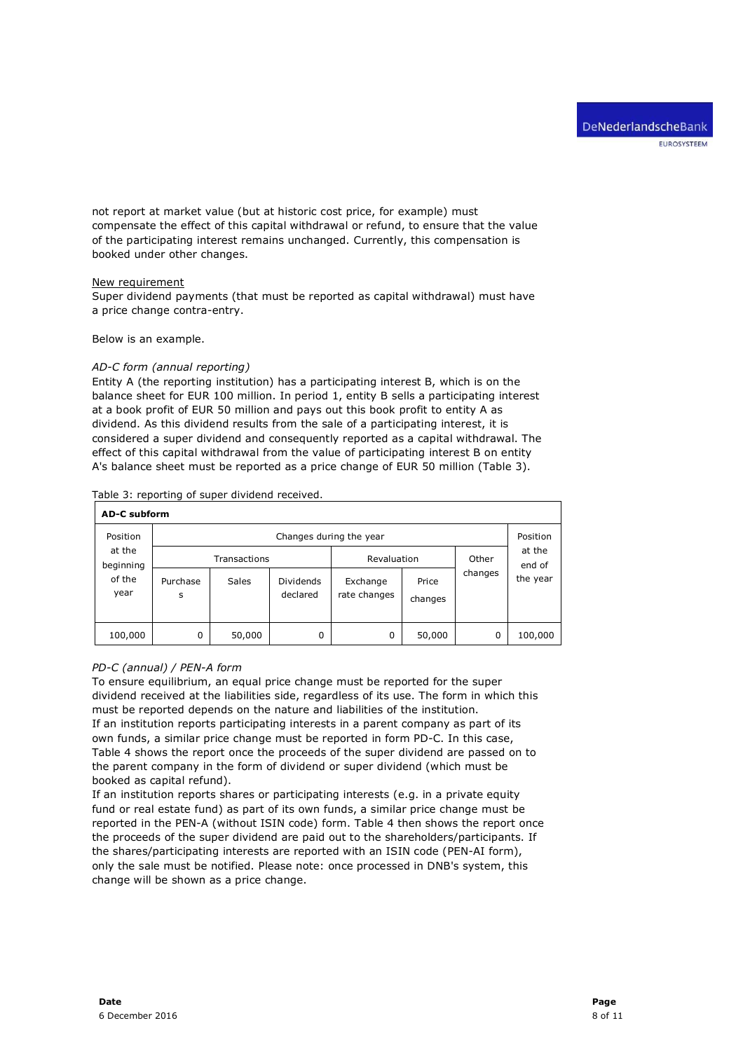not report at market value (but at historic cost price, for example) must compensate the effect of this capital withdrawal or refund, to ensure that the value of the participating interest remains unchanged. Currently, this compensation is booked under other changes.

#### New requirement

Super dividend payments (that must be reported as capital withdrawal) must have a price change contra-entry.

Below is an example.

#### AD-C form (annual reporting)

Entity A (the reporting institution) has a participating interest B, which is on the balance sheet for EUR 100 million. In period 1, entity B sells a participating interest at a book profit of EUR 50 million and pays out this book profit to entity A as dividend. As this dividend results from the sale of a participating interest, it is considered a super dividend and consequently reported as a capital withdrawal. The effect of this capital withdrawal from the value of participating interest B on entity A's balance sheet must be reported as a price change of EUR 50 million (Table 3).

|  |  |  | Table 3: reporting of super dividend received. |
|--|--|--|------------------------------------------------|
|  |  |  |                                                |

| <b>AD-C subform</b>                   |                         |              |                              |                          |                  |         |                              |  |  |
|---------------------------------------|-------------------------|--------------|------------------------------|--------------------------|------------------|---------|------------------------------|--|--|
| Position                              | Changes during the year |              |                              |                          |                  |         |                              |  |  |
| at the<br>beginning<br>of the<br>year |                         | Transactions |                              | Revaluation              |                  | Other   | at the<br>end of<br>the year |  |  |
|                                       | Purchase<br>S           | <b>Sales</b> | <b>Dividends</b><br>declared | Exchange<br>rate changes | Price<br>changes | changes |                              |  |  |
| 100,000                               | 0                       | 50,000       | 0                            | 0                        | 50,000           | 0       | 100,000                      |  |  |

#### PD-C (annual) / PEN-A form

To ensure equilibrium, an equal price change must be reported for the super dividend received at the liabilities side, regardless of its use. The form in which this must be reported depends on the nature and liabilities of the institution. If an institution reports participating interests in a parent company as part of its own funds, a similar price change must be reported in form PD-C. In this case, Table 4 shows the report once the proceeds of the super dividend are passed on to the parent company in the form of dividend or super dividend (which must be booked as capital refund).

If an institution reports shares or participating interests (e.g. in a private equity fund or real estate fund) as part of its own funds, a similar price change must be reported in the PEN-A (without ISIN code) form. Table 4 then shows the report once the proceeds of the super dividend are paid out to the shareholders/participants. If the shares/participating interests are reported with an ISIN code (PEN-AI form), only the sale must be notified. Please note: once processed in DNB's system, this change will be shown as a price change.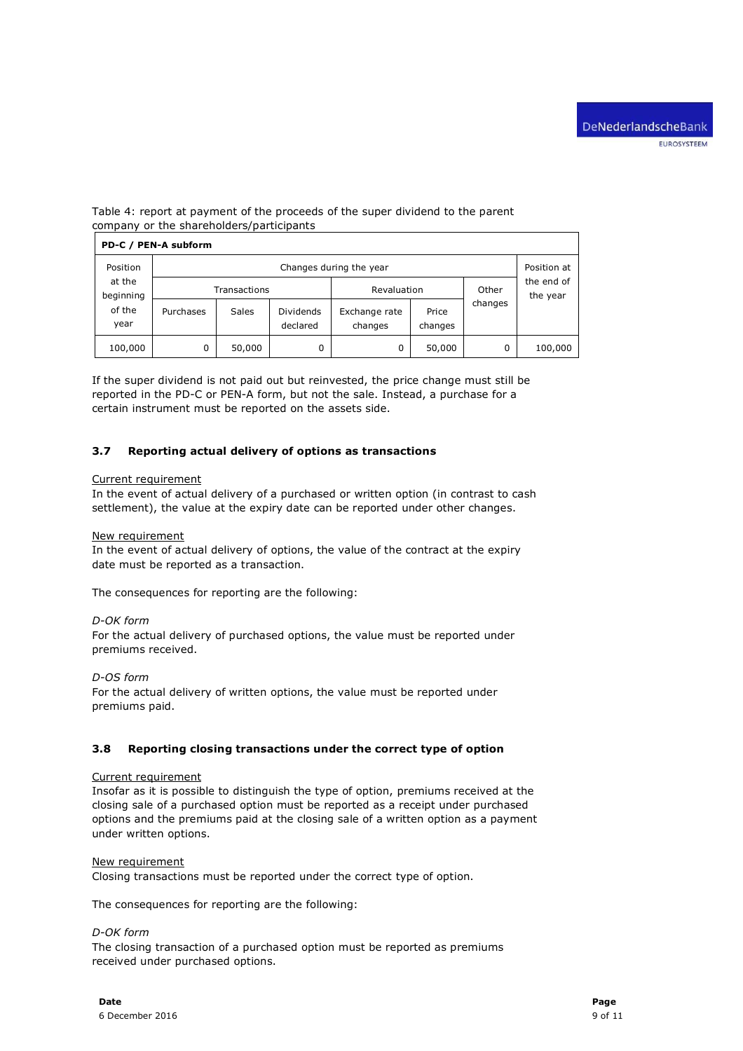## Table 4: report at payment of the proceeds of the super dividend to the parent company or the shareholders/participants

| PD-C / PEN-A subform |                         |              |                              |                          |                  |         |                        |  |  |
|----------------------|-------------------------|--------------|------------------------------|--------------------------|------------------|---------|------------------------|--|--|
| Position             | Changes during the year |              |                              |                          |                  |         |                        |  |  |
| at the<br>beginning  |                         | Transactions |                              | Revaluation              |                  | Other   | the end of<br>the year |  |  |
| of the<br>year       | Purchases               | Sales        | <b>Dividends</b><br>declared | Exchange rate<br>changes | Price<br>changes | changes |                        |  |  |
| 100,000              | 0                       | 50,000       | 0                            | 0                        | 50,000           | 0       | 100,000                |  |  |

If the super dividend is not paid out but reinvested, the price change must still be reported in the PD-C or PEN-A form, but not the sale. Instead, a purchase for a certain instrument must be reported on the assets side.

## 3.7 Reporting actual delivery of options as transactions

#### Current requirement

In the event of actual delivery of a purchased or written option (in contrast to cash settlement), the value at the expiry date can be reported under other changes.

#### New requirement

In the event of actual delivery of options, the value of the contract at the expiry date must be reported as a transaction.

The consequences for reporting are the following:

## D-OK form

For the actual delivery of purchased options, the value must be reported under premiums received.

## D-OS form

For the actual delivery of written options, the value must be reported under premiums paid.

## 3.8 Reporting closing transactions under the correct type of option

#### Current requirement

Insofar as it is possible to distinguish the type of option, premiums received at the closing sale of a purchased option must be reported as a receipt under purchased options and the premiums paid at the closing sale of a written option as a payment under written options.

#### New requirement

Closing transactions must be reported under the correct type of option.

The consequences for reporting are the following:

#### D-OK form

The closing transaction of a purchased option must be reported as premiums received under purchased options.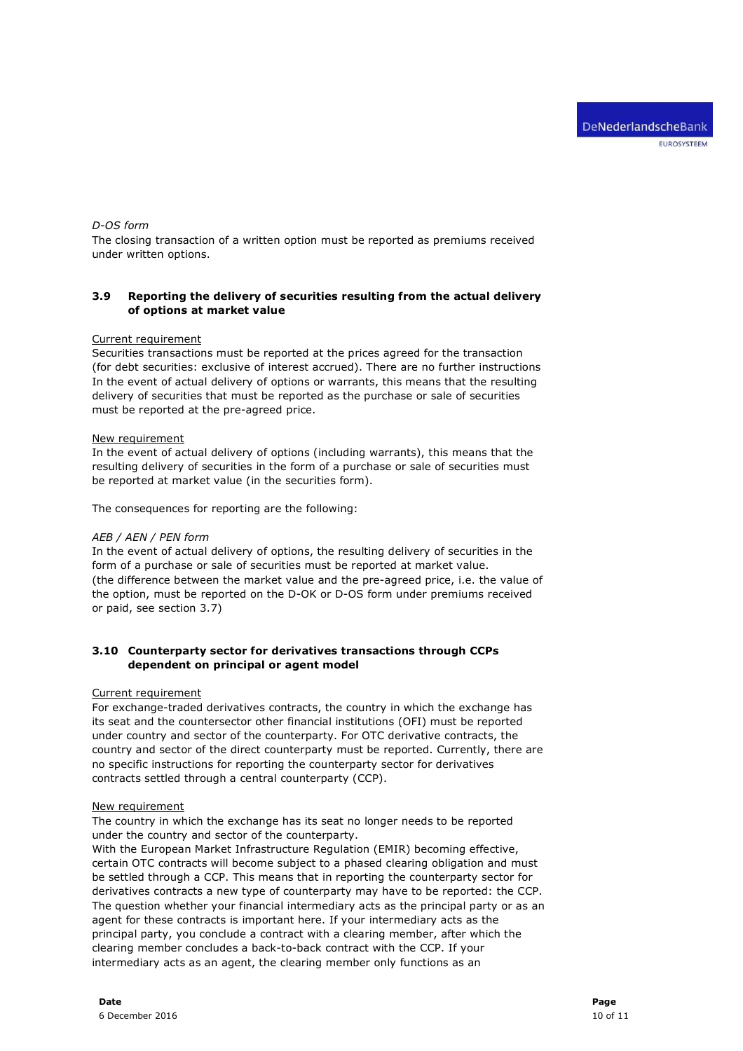#### D-OS form

The closing transaction of a written option must be reported as premiums received under written options.

## 3.9 Reporting the delivery of securities resulting from the actual delivery of options at market value

#### Current requirement

Securities transactions must be reported at the prices agreed for the transaction (for debt securities: exclusive of interest accrued). There are no further instructions In the event of actual delivery of options or warrants, this means that the resulting delivery of securities that must be reported as the purchase or sale of securities must be reported at the pre-agreed price.

#### New requirement

In the event of actual delivery of options (including warrants), this means that the resulting delivery of securities in the form of a purchase or sale of securities must be reported at market value (in the securities form).

The consequences for reporting are the following:

#### AEB / AEN / PEN form

In the event of actual delivery of options, the resulting delivery of securities in the form of a purchase or sale of securities must be reported at market value. (the difference between the market value and the pre-agreed price, i.e. the value of the option, must be reported on the D-OK or D-OS form under premiums received or paid, see section 3.7)

## 3.10 Counterparty sector for derivatives transactions through CCPs dependent on principal or agent model

#### Current requirement

For exchange-traded derivatives contracts, the country in which the exchange has its seat and the countersector other financial institutions (OFI) must be reported under country and sector of the counterparty. For OTC derivative contracts, the country and sector of the direct counterparty must be reported. Currently, there are no specific instructions for reporting the counterparty sector for derivatives contracts settled through a central counterparty (CCP).

#### New requirement

The country in which the exchange has its seat no longer needs to be reported under the country and sector of the counterparty.

With the European Market Infrastructure Regulation (EMIR) becoming effective, certain OTC contracts will become subject to a phased clearing obligation and must be settled through a CCP. This means that in reporting the counterparty sector for derivatives contracts a new type of counterparty may have to be reported: the CCP. The question whether your financial intermediary acts as the principal party or as an agent for these contracts is important here. If your intermediary acts as the principal party, you conclude a contract with a clearing member, after which the clearing member concludes a back-to-back contract with the CCP. If your intermediary acts as an agent, the clearing member only functions as an